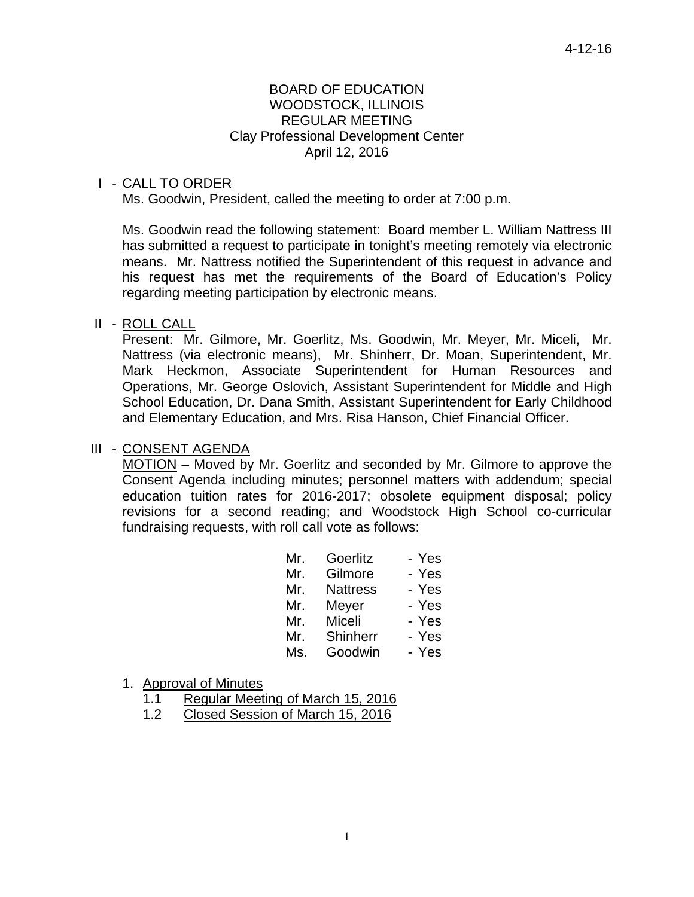#### BOARD OF EDUCATION WOODSTOCK, ILLINOIS REGULAR MEETING Clay Professional Development Center April 12, 2016

# I - CALL TO ORDER

Ms. Goodwin, President, called the meeting to order at 7:00 p.m.

 Ms. Goodwin read the following statement: Board member L. William Nattress III has submitted a request to participate in tonight's meeting remotely via electronic means. Mr. Nattress notified the Superintendent of this request in advance and his request has met the requirements of the Board of Education's Policy regarding meeting participation by electronic means.

#### II - ROLL CALL

 Present: Mr. Gilmore, Mr. Goerlitz, Ms. Goodwin, Mr. Meyer, Mr. Miceli, Mr. Nattress (via electronic means), Mr. Shinherr, Dr. Moan, Superintendent, Mr. Mark Heckmon, Associate Superintendent for Human Resources and Operations, Mr. George Oslovich, Assistant Superintendent for Middle and High School Education, Dr. Dana Smith, Assistant Superintendent for Early Childhood and Elementary Education, and Mrs. Risa Hanson, Chief Financial Officer.

#### III - CONSENT AGENDA

 MOTION – Moved by Mr. Goerlitz and seconded by Mr. Gilmore to approve the Consent Agenda including minutes; personnel matters with addendum; special education tuition rates for 2016-2017; obsolete equipment disposal; policy revisions for a second reading; and Woodstock High School co-curricular fundraising requests, with roll call vote as follows:

| Mr. | Goerlitz        | - Yes |
|-----|-----------------|-------|
| Mr. | Gilmore         | - Yes |
| Mr. | <b>Nattress</b> | - Yes |
| Mr. | Meyer           | - Yes |
| Mr. | Miceli          | - Yes |
| Mr. | Shinherr        | - Yes |
| Ms. | Goodwin         | - Yes |

#### 1. Approval of Minutes

- 1.1 Regular Meeting of March 15, 2016
- 1.2 Closed Session of March 15, 2016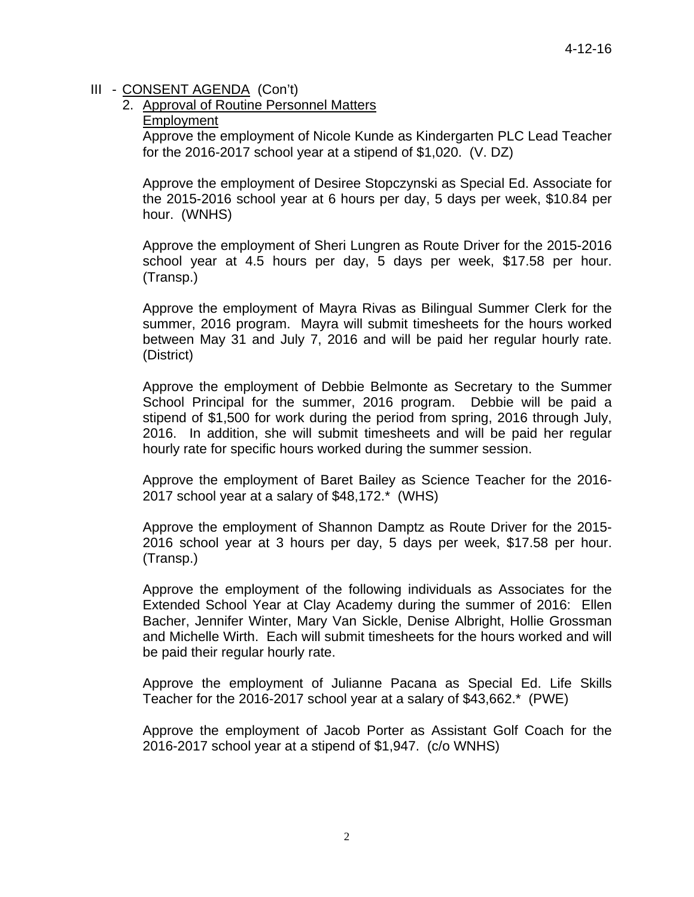# 2. Approval of Routine Personnel Matters

# Employment

Approve the employment of Nicole Kunde as Kindergarten PLC Lead Teacher for the 2016-2017 school year at a stipend of \$1,020. (V. DZ)

Approve the employment of Desiree Stopczynski as Special Ed. Associate for the 2015-2016 school year at 6 hours per day, 5 days per week, \$10.84 per hour. (WNHS)

Approve the employment of Sheri Lungren as Route Driver for the 2015-2016 school year at 4.5 hours per day, 5 days per week, \$17.58 per hour. (Transp.)

Approve the employment of Mayra Rivas as Bilingual Summer Clerk for the summer, 2016 program. Mayra will submit timesheets for the hours worked between May 31 and July 7, 2016 and will be paid her regular hourly rate. (District)

Approve the employment of Debbie Belmonte as Secretary to the Summer School Principal for the summer, 2016 program. Debbie will be paid a stipend of \$1,500 for work during the period from spring, 2016 through July, 2016. In addition, she will submit timesheets and will be paid her regular hourly rate for specific hours worked during the summer session.

Approve the employment of Baret Bailey as Science Teacher for the 2016- 2017 school year at a salary of \$48,172.\* (WHS)

Approve the employment of Shannon Damptz as Route Driver for the 2015- 2016 school year at 3 hours per day, 5 days per week, \$17.58 per hour. (Transp.)

Approve the employment of the following individuals as Associates for the Extended School Year at Clay Academy during the summer of 2016: Ellen Bacher, Jennifer Winter, Mary Van Sickle, Denise Albright, Hollie Grossman and Michelle Wirth. Each will submit timesheets for the hours worked and will be paid their regular hourly rate.

Approve the employment of Julianne Pacana as Special Ed. Life Skills Teacher for the 2016-2017 school year at a salary of \$43,662.\* (PWE)

Approve the employment of Jacob Porter as Assistant Golf Coach for the 2016-2017 school year at a stipend of \$1,947. (c/o WNHS)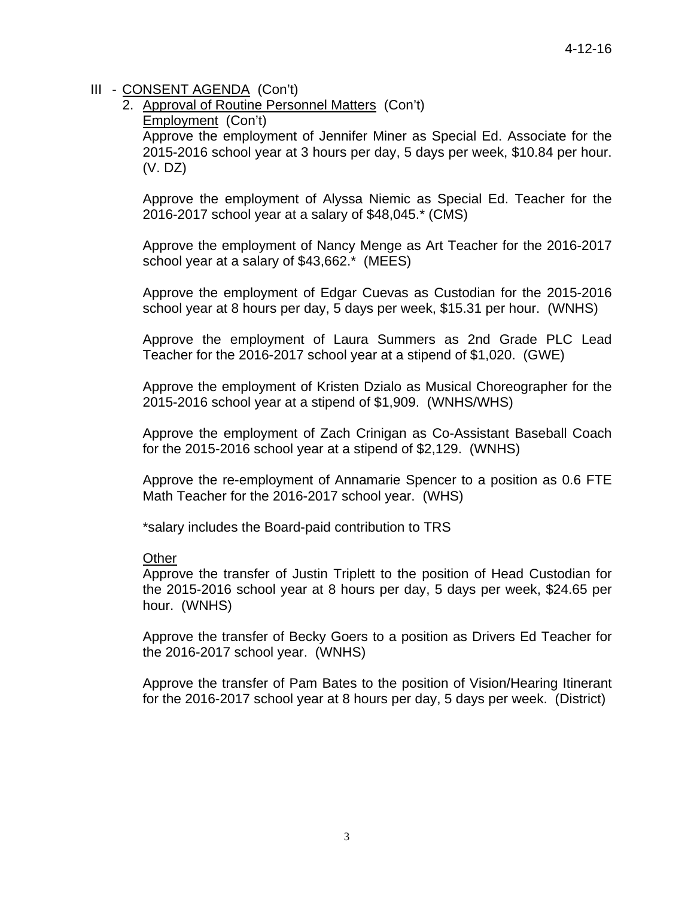2. Approval of Routine Personnel Matters (Con't)

Employment (Con't)

Approve the employment of Jennifer Miner as Special Ed. Associate for the 2015-2016 school year at 3 hours per day, 5 days per week, \$10.84 per hour. (V. DZ)

Approve the employment of Alyssa Niemic as Special Ed. Teacher for the 2016-2017 school year at a salary of \$48,045.\* (CMS)

Approve the employment of Nancy Menge as Art Teacher for the 2016-2017 school year at a salary of \$43,662.\* (MEES)

Approve the employment of Edgar Cuevas as Custodian for the 2015-2016 school year at 8 hours per day, 5 days per week, \$15.31 per hour. (WNHS)

Approve the employment of Laura Summers as 2nd Grade PLC Lead Teacher for the 2016-2017 school year at a stipend of \$1,020. (GWE)

Approve the employment of Kristen Dzialo as Musical Choreographer for the 2015-2016 school year at a stipend of \$1,909. (WNHS/WHS)

Approve the employment of Zach Crinigan as Co-Assistant Baseball Coach for the 2015-2016 school year at a stipend of \$2,129. (WNHS)

Approve the re-employment of Annamarie Spencer to a position as 0.6 FTE Math Teacher for the 2016-2017 school year. (WHS)

\*salary includes the Board-paid contribution to TRS

#### **Other**

Approve the transfer of Justin Triplett to the position of Head Custodian for the 2015-2016 school year at 8 hours per day, 5 days per week, \$24.65 per hour. (WNHS)

Approve the transfer of Becky Goers to a position as Drivers Ed Teacher for the 2016-2017 school year. (WNHS)

Approve the transfer of Pam Bates to the position of Vision/Hearing Itinerant for the 2016-2017 school year at 8 hours per day, 5 days per week. (District)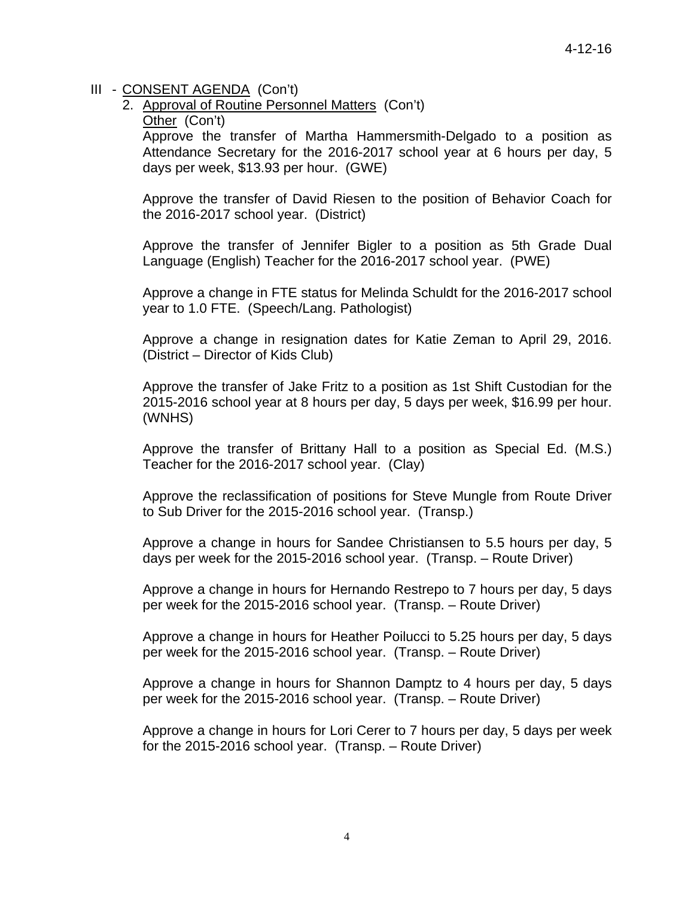2. Approval of Routine Personnel Matters (Con't)

Other (Con't)

Approve the transfer of Martha Hammersmith-Delgado to a position as Attendance Secretary for the 2016-2017 school year at 6 hours per day, 5 days per week, \$13.93 per hour. (GWE)

Approve the transfer of David Riesen to the position of Behavior Coach for the 2016-2017 school year. (District)

Approve the transfer of Jennifer Bigler to a position as 5th Grade Dual Language (English) Teacher for the 2016-2017 school year. (PWE)

Approve a change in FTE status for Melinda Schuldt for the 2016-2017 school year to 1.0 FTE. (Speech/Lang. Pathologist)

Approve a change in resignation dates for Katie Zeman to April 29, 2016. (District – Director of Kids Club)

Approve the transfer of Jake Fritz to a position as 1st Shift Custodian for the 2015-2016 school year at 8 hours per day, 5 days per week, \$16.99 per hour. (WNHS)

Approve the transfer of Brittany Hall to a position as Special Ed. (M.S.) Teacher for the 2016-2017 school year. (Clay)

Approve the reclassification of positions for Steve Mungle from Route Driver to Sub Driver for the 2015-2016 school year. (Transp.)

Approve a change in hours for Sandee Christiansen to 5.5 hours per day, 5 days per week for the 2015-2016 school year. (Transp. – Route Driver)

Approve a change in hours for Hernando Restrepo to 7 hours per day, 5 days per week for the 2015-2016 school year. (Transp. – Route Driver)

Approve a change in hours for Heather Poilucci to 5.25 hours per day, 5 days per week for the 2015-2016 school year. (Transp. – Route Driver)

Approve a change in hours for Shannon Damptz to 4 hours per day, 5 days per week for the 2015-2016 school year. (Transp. – Route Driver)

Approve a change in hours for Lori Cerer to 7 hours per day, 5 days per week for the 2015-2016 school year. (Transp. – Route Driver)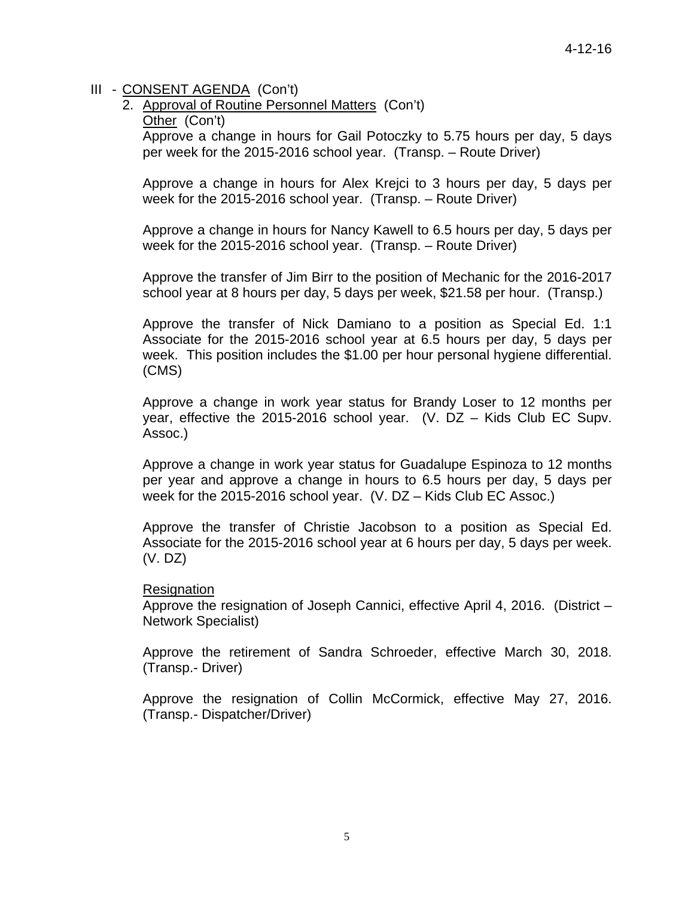2. Approval of Routine Personnel Matters (Con't)

Other (Con't)

Approve a change in hours for Gail Potoczky to 5.75 hours per day, 5 days per week for the 2015-2016 school year. (Transp. – Route Driver)

Approve a change in hours for Alex Krejci to 3 hours per day, 5 days per week for the 2015-2016 school year. (Transp. – Route Driver)

Approve a change in hours for Nancy Kawell to 6.5 hours per day, 5 days per week for the 2015-2016 school year. (Transp. – Route Driver)

Approve the transfer of Jim Birr to the position of Mechanic for the 2016-2017 school year at 8 hours per day, 5 days per week, \$21.58 per hour. (Transp.)

Approve the transfer of Nick Damiano to a position as Special Ed. 1:1 Associate for the 2015-2016 school year at 6.5 hours per day, 5 days per week. This position includes the \$1.00 per hour personal hygiene differential. (CMS)

Approve a change in work year status for Brandy Loser to 12 months per year, effective the 2015-2016 school year. (V. DZ – Kids Club EC Supv. Assoc.)

Approve a change in work year status for Guadalupe Espinoza to 12 months per year and approve a change in hours to 6.5 hours per day, 5 days per week for the 2015-2016 school year. (V. DZ – Kids Club EC Assoc.)

Approve the transfer of Christie Jacobson to a position as Special Ed. Associate for the 2015-2016 school year at 6 hours per day, 5 days per week. (V. DZ)

#### **Resignation**

Approve the resignation of Joseph Cannici, effective April 4, 2016. (District – Network Specialist)

Approve the retirement of Sandra Schroeder, effective March 30, 2018. (Transp.- Driver)

Approve the resignation of Collin McCormick, effective May 27, 2016. (Transp.- Dispatcher/Driver)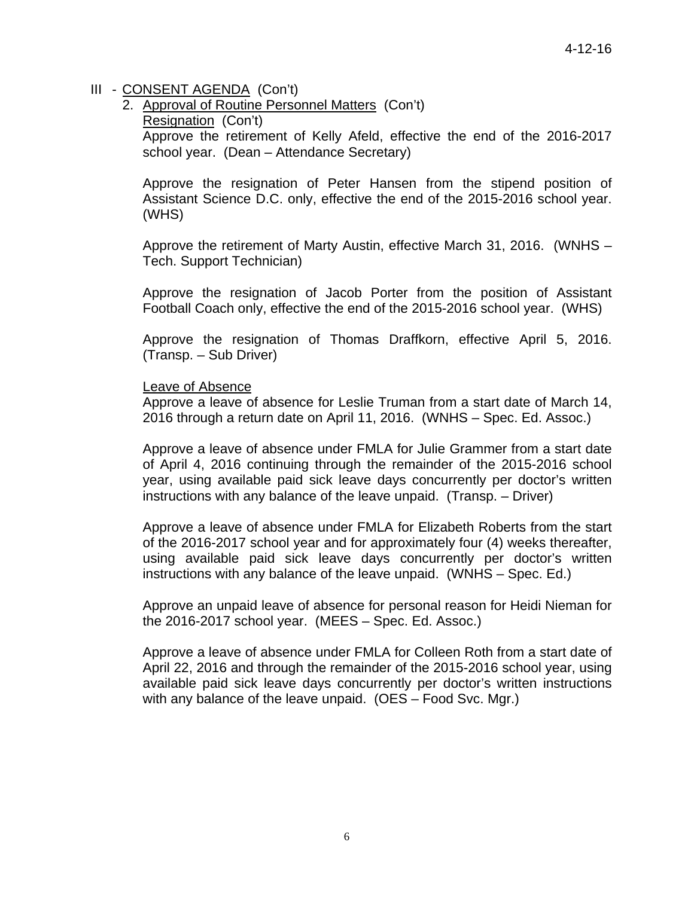2. Approval of Routine Personnel Matters (Con't) Resignation (Con't) Approve the retirement of Kelly Afeld, effective the end of the 2016-2017 school year. (Dean – Attendance Secretary)

Approve the resignation of Peter Hansen from the stipend position of Assistant Science D.C. only, effective the end of the 2015-2016 school year. (WHS)

Approve the retirement of Marty Austin, effective March 31, 2016. (WNHS – Tech. Support Technician)

Approve the resignation of Jacob Porter from the position of Assistant Football Coach only, effective the end of the 2015-2016 school year. (WHS)

Approve the resignation of Thomas Draffkorn, effective April 5, 2016. (Transp. – Sub Driver)

#### Leave of Absence

Approve a leave of absence for Leslie Truman from a start date of March 14, 2016 through a return date on April 11, 2016. (WNHS – Spec. Ed. Assoc.)

Approve a leave of absence under FMLA for Julie Grammer from a start date of April 4, 2016 continuing through the remainder of the 2015-2016 school year, using available paid sick leave days concurrently per doctor's written instructions with any balance of the leave unpaid. (Transp. – Driver)

Approve a leave of absence under FMLA for Elizabeth Roberts from the start of the 2016-2017 school year and for approximately four (4) weeks thereafter, using available paid sick leave days concurrently per doctor's written instructions with any balance of the leave unpaid. (WNHS – Spec. Ed.)

Approve an unpaid leave of absence for personal reason for Heidi Nieman for the 2016-2017 school year. (MEES – Spec. Ed. Assoc.)

Approve a leave of absence under FMLA for Colleen Roth from a start date of April 22, 2016 and through the remainder of the 2015-2016 school year, using available paid sick leave days concurrently per doctor's written instructions with any balance of the leave unpaid. (OES – Food Svc. Mgr.)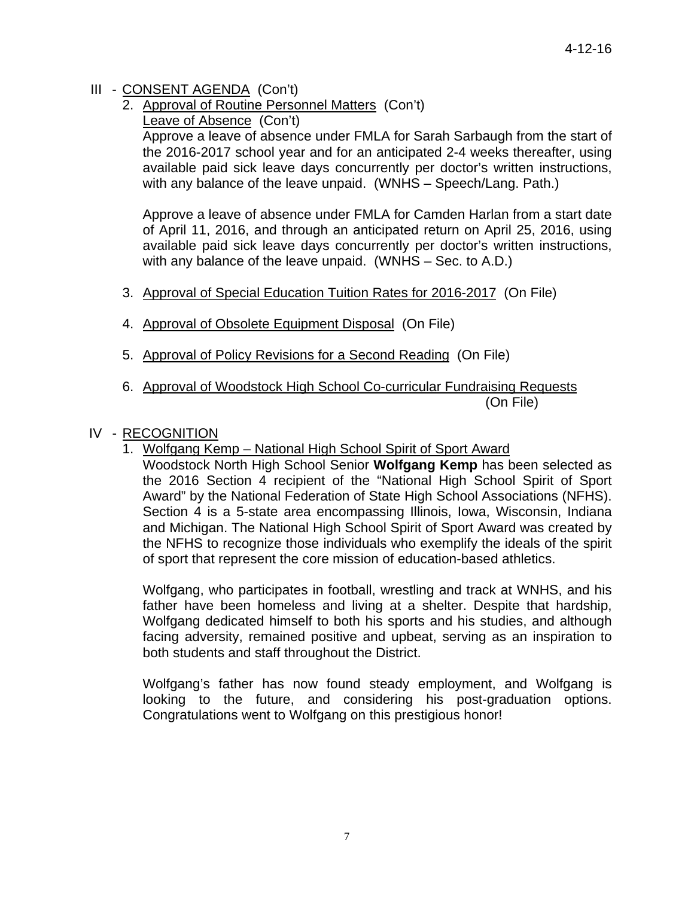- 2. Approval of Routine Personnel Matters (Con't)
	- Leave of Absence (Con't)

Approve a leave of absence under FMLA for Sarah Sarbaugh from the start of the 2016-2017 school year and for an anticipated 2-4 weeks thereafter, using available paid sick leave days concurrently per doctor's written instructions, with any balance of the leave unpaid. (WNHS – Speech/Lang. Path.)

Approve a leave of absence under FMLA for Camden Harlan from a start date of April 11, 2016, and through an anticipated return on April 25, 2016, using available paid sick leave days concurrently per doctor's written instructions, with any balance of the leave unpaid. (WNHS – Sec. to A.D.)

- 3. Approval of Special Education Tuition Rates for 2016-2017 (On File)
- 4. Approval of Obsolete Equipment Disposal (On File)
- 5. Approval of Policy Revisions for a Second Reading (On File)
- 6. Approval of Woodstock High School Co-curricular Fundraising Requests (On File)

# IV - RECOGNITION

1. Wolfgang Kemp – National High School Spirit of Sport Award

Woodstock North High School Senior **Wolfgang Kemp** has been selected as the 2016 Section 4 recipient of the "National High School Spirit of Sport Award" by the National Federation of State High School Associations (NFHS). Section 4 is a 5-state area encompassing Illinois, Iowa, Wisconsin, Indiana and Michigan. The National High School Spirit of Sport Award was created by the NFHS to recognize those individuals who exemplify the ideals of the spirit of sport that represent the core mission of education-based athletics.

 Wolfgang, who participates in football, wrestling and track at WNHS, and his father have been homeless and living at a shelter. Despite that hardship, Wolfgang dedicated himself to both his sports and his studies, and although facing adversity, remained positive and upbeat, serving as an inspiration to both students and staff throughout the District.

 Wolfgang's father has now found steady employment, and Wolfgang is looking to the future, and considering his post-graduation options. Congratulations went to Wolfgang on this prestigious honor!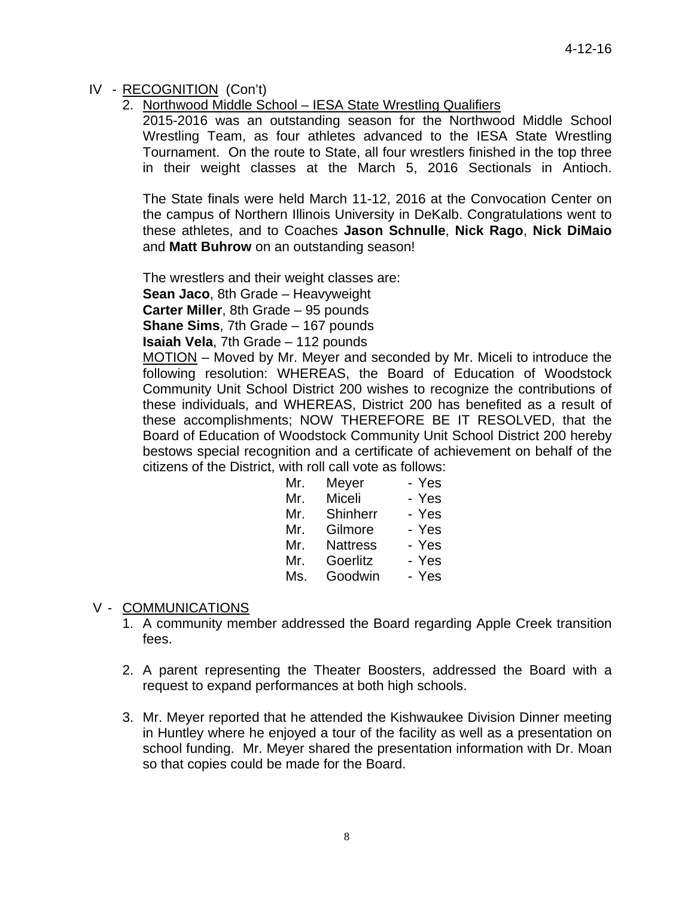# IV - RECOGNITION (Con't)

2. Northwood Middle School – IESA State Wrestling Qualifiers

 2015-2016 was an outstanding season for the Northwood Middle School Wrestling Team, as four athletes advanced to the IESA State Wrestling Tournament. On the route to State, all four wrestlers finished in the top three in their weight classes at the March 5, 2016 Sectionals in Antioch.

The State finals were held March 11-12, 2016 at the Convocation Center on the campus of Northern Illinois University in DeKalb. Congratulations went to these athletes, and to Coaches **Jason Schnulle**, **Nick Rago**, **Nick DiMaio** and **Matt Buhrow** on an outstanding season!

 The wrestlers and their weight classes are: **Sean Jaco**, 8th Grade – Heavyweight

**Carter Miller**, 8th Grade – 95 pounds

**Shane Sims**, 7th Grade – 167 pounds

**Isaiah Vela**, 7th Grade – 112 pounds

MOTION – Moved by Mr. Meyer and seconded by Mr. Miceli to introduce the following resolution: WHEREAS, the Board of Education of Woodstock Community Unit School District 200 wishes to recognize the contributions of these individuals, and WHEREAS, District 200 has benefited as a result of these accomplishments; NOW THEREFORE BE IT RESOLVED, that the Board of Education of Woodstock Community Unit School District 200 hereby bestows special recognition and a certificate of achievement on behalf of the citizens of the District, with roll call vote as follows:

| Mr. | Meyer           | - Yes |
|-----|-----------------|-------|
| Mr. | Miceli          | - Yes |
| Mr. | Shinherr        | - Yes |
| Mr. | Gilmore         | - Yes |
| Mr. | <b>Nattress</b> | - Yes |
| Mr. | Goerlitz        | - Yes |
| Ms. | Goodwin         | - Yes |

# V - COMMUNICATIONS

- 1. A community member addressed the Board regarding Apple Creek transition fees.
- 2. A parent representing the Theater Boosters, addressed the Board with a request to expand performances at both high schools.
- 3. Mr. Meyer reported that he attended the Kishwaukee Division Dinner meeting in Huntley where he enjoyed a tour of the facility as well as a presentation on school funding. Mr. Meyer shared the presentation information with Dr. Moan so that copies could be made for the Board.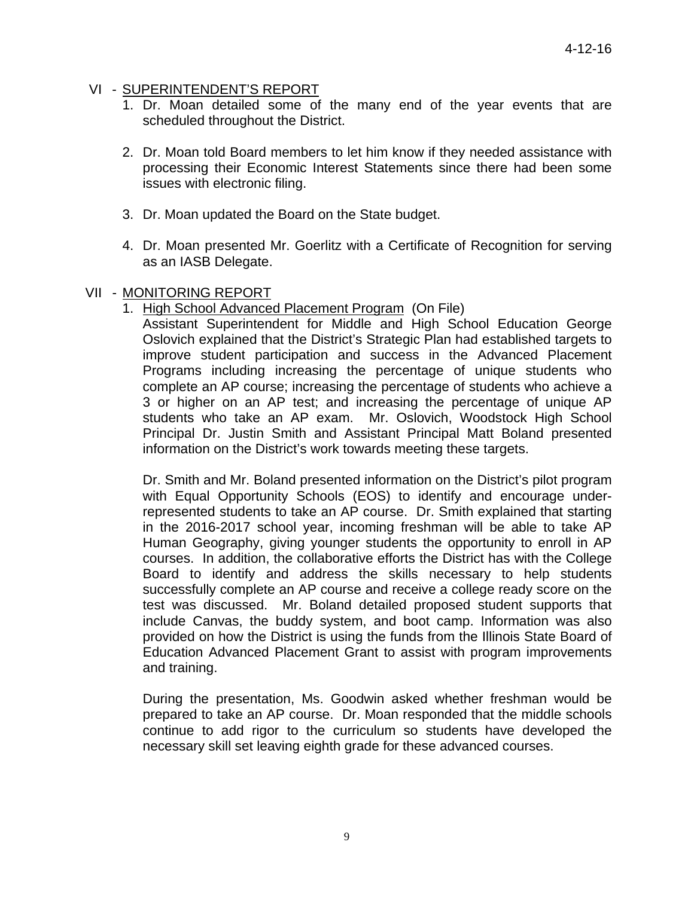#### VI - SUPERINTENDENT'S REPORT

- 1. Dr. Moan detailed some of the many end of the year events that are scheduled throughout the District.
- 2. Dr. Moan told Board members to let him know if they needed assistance with processing their Economic Interest Statements since there had been some issues with electronic filing.
- 3. Dr. Moan updated the Board on the State budget.
- 4. Dr. Moan presented Mr. Goerlitz with a Certificate of Recognition for serving as an IASB Delegate.

#### VII - MONITORING REPORT

1. High School Advanced Placement Program (On File)

Assistant Superintendent for Middle and High School Education George Oslovich explained that the District's Strategic Plan had established targets to improve student participation and success in the Advanced Placement Programs including increasing the percentage of unique students who complete an AP course; increasing the percentage of students who achieve a 3 or higher on an AP test; and increasing the percentage of unique AP students who take an AP exam. Mr. Oslovich, Woodstock High School Principal Dr. Justin Smith and Assistant Principal Matt Boland presented information on the District's work towards meeting these targets.

Dr. Smith and Mr. Boland presented information on the District's pilot program with Equal Opportunity Schools (EOS) to identify and encourage underrepresented students to take an AP course. Dr. Smith explained that starting in the 2016-2017 school year, incoming freshman will be able to take AP Human Geography, giving younger students the opportunity to enroll in AP courses. In addition, the collaborative efforts the District has with the College Board to identify and address the skills necessary to help students successfully complete an AP course and receive a college ready score on the test was discussed. Mr. Boland detailed proposed student supports that include Canvas, the buddy system, and boot camp. Information was also provided on how the District is using the funds from the Illinois State Board of Education Advanced Placement Grant to assist with program improvements and training.

During the presentation, Ms. Goodwin asked whether freshman would be prepared to take an AP course. Dr. Moan responded that the middle schools continue to add rigor to the curriculum so students have developed the necessary skill set leaving eighth grade for these advanced courses.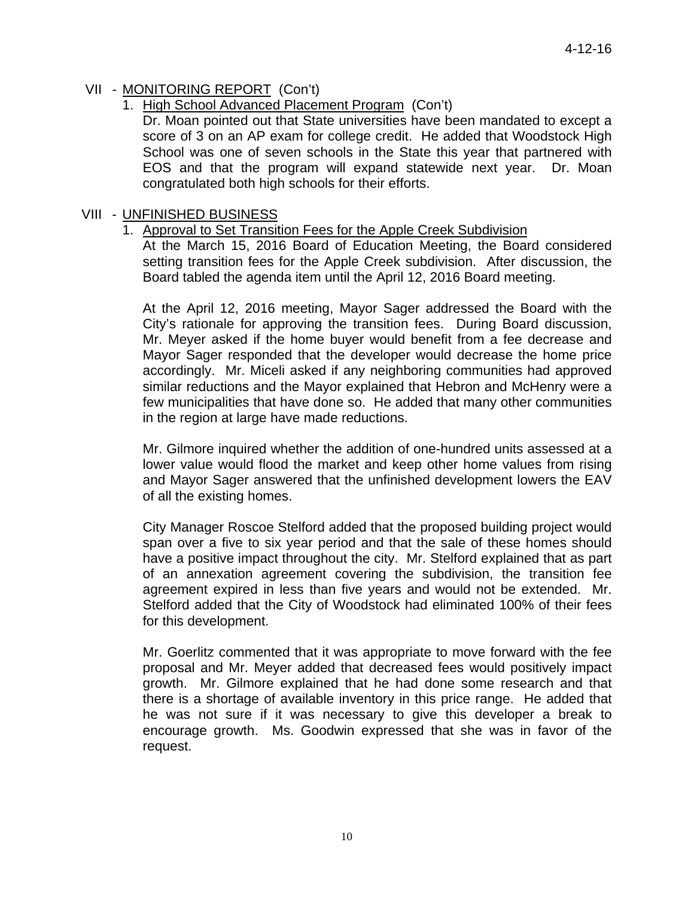# VII - MONITORING REPORT (Con't)

1. High School Advanced Placement Program (Con't)

Dr. Moan pointed out that State universities have been mandated to except a score of 3 on an AP exam for college credit. He added that Woodstock High School was one of seven schools in the State this year that partnered with EOS and that the program will expand statewide next year. Dr. Moan congratulated both high schools for their efforts.

### VIII - UNFINISHED BUSINESS

### 1. Approval to Set Transition Fees for the Apple Creek Subdivision

At the March 15, 2016 Board of Education Meeting, the Board considered setting transition fees for the Apple Creek subdivision. After discussion, the Board tabled the agenda item until the April 12, 2016 Board meeting.

At the April 12, 2016 meeting, Mayor Sager addressed the Board with the City's rationale for approving the transition fees. During Board discussion, Mr. Meyer asked if the home buyer would benefit from a fee decrease and Mayor Sager responded that the developer would decrease the home price accordingly. Mr. Miceli asked if any neighboring communities had approved similar reductions and the Mayor explained that Hebron and McHenry were a few municipalities that have done so. He added that many other communities in the region at large have made reductions.

Mr. Gilmore inquired whether the addition of one-hundred units assessed at a lower value would flood the market and keep other home values from rising and Mayor Sager answered that the unfinished development lowers the EAV of all the existing homes.

City Manager Roscoe Stelford added that the proposed building project would span over a five to six year period and that the sale of these homes should have a positive impact throughout the city. Mr. Stelford explained that as part of an annexation agreement covering the subdivision, the transition fee agreement expired in less than five years and would not be extended. Mr. Stelford added that the City of Woodstock had eliminated 100% of their fees for this development.

Mr. Goerlitz commented that it was appropriate to move forward with the fee proposal and Mr. Meyer added that decreased fees would positively impact growth. Mr. Gilmore explained that he had done some research and that there is a shortage of available inventory in this price range. He added that he was not sure if it was necessary to give this developer a break to encourage growth. Ms. Goodwin expressed that she was in favor of the request.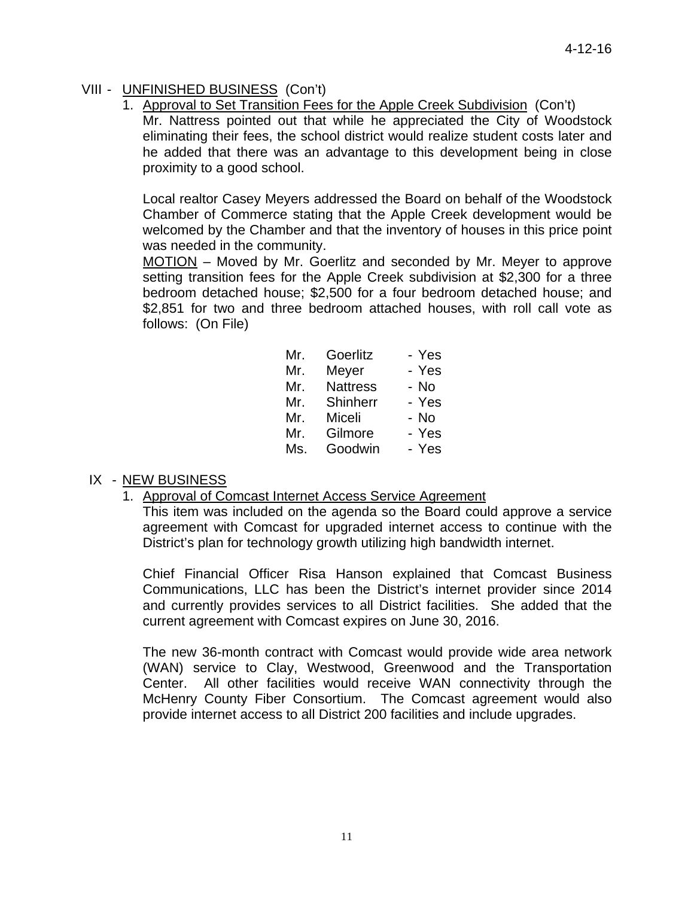# VIII - UNFINISHED BUSINESS (Con't)

1. Approval to Set Transition Fees for the Apple Creek Subdivision (Con't)

Mr. Nattress pointed out that while he appreciated the City of Woodstock eliminating their fees, the school district would realize student costs later and he added that there was an advantage to this development being in close proximity to a good school.

Local realtor Casey Meyers addressed the Board on behalf of the Woodstock Chamber of Commerce stating that the Apple Creek development would be welcomed by the Chamber and that the inventory of houses in this price point was needed in the community.

MOTION – Moved by Mr. Goerlitz and seconded by Mr. Meyer to approve setting transition fees for the Apple Creek subdivision at \$2,300 for a three bedroom detached house; \$2,500 for a four bedroom detached house; and \$2,851 for two and three bedroom attached houses, with roll call vote as follows: (On File)

| Mr. | Goerlitz        | - Yes |
|-----|-----------------|-------|
| Mr. | Meyer           | - Yes |
| Mr. | <b>Nattress</b> | - No  |
| Mr. | Shinherr        | - Yes |
| Mr. | Miceli          | - No  |
| Mr. | Gilmore         | - Yes |
| Ms. | Goodwin         | - Yes |

# IX - NEW BUSINESS

1. Approval of Comcast Internet Access Service Agreement

This item was included on the agenda so the Board could approve a service agreement with Comcast for upgraded internet access to continue with the District's plan for technology growth utilizing high bandwidth internet.

Chief Financial Officer Risa Hanson explained that Comcast Business Communications, LLC has been the District's internet provider since 2014 and currently provides services to all District facilities. She added that the current agreement with Comcast expires on June 30, 2016.

The new 36-month contract with Comcast would provide wide area network (WAN) service to Clay, Westwood, Greenwood and the Transportation Center. All other facilities would receive WAN connectivity through the McHenry County Fiber Consortium. The Comcast agreement would also provide internet access to all District 200 facilities and include upgrades.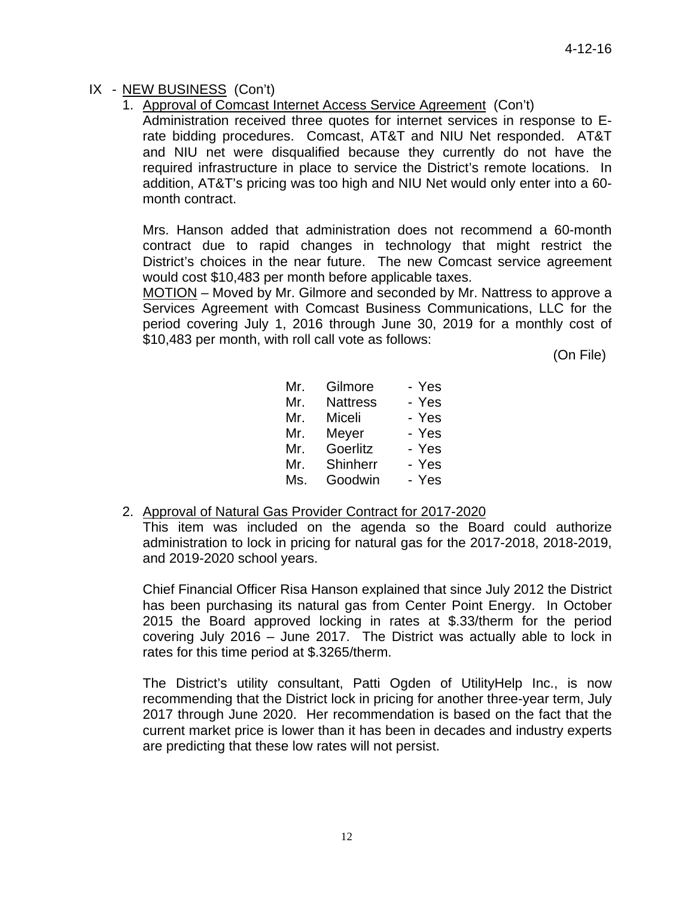## IX - NEW BUSINESS (Con't)

1. Approval of Comcast Internet Access Service Agreement (Con't)

Administration received three quotes for internet services in response to Erate bidding procedures. Comcast, AT&T and NIU Net responded. AT&T and NIU net were disqualified because they currently do not have the required infrastructure in place to service the District's remote locations. In addition, AT&T's pricing was too high and NIU Net would only enter into a 60 month contract.

Mrs. Hanson added that administration does not recommend a 60-month contract due to rapid changes in technology that might restrict the District's choices in the near future. The new Comcast service agreement would cost \$10,483 per month before applicable taxes.

MOTION – Moved by Mr. Gilmore and seconded by Mr. Nattress to approve a Services Agreement with Comcast Business Communications, LLC for the period covering July 1, 2016 through June 30, 2019 for a monthly cost of \$10,483 per month, with roll call vote as follows:

(On File)

| Mr. | Gilmore         | - Yes |
|-----|-----------------|-------|
| Mr. | <b>Nattress</b> | - Yes |
| Mr. | Miceli          | - Yes |
| Mr. | Meyer           | - Yes |
| Mr. | Goerlitz        | - Yes |
| Mr. | Shinherr        | - Yes |
| Ms. | Goodwin         | - Yes |

#### 2. Approval of Natural Gas Provider Contract for 2017-2020

This item was included on the agenda so the Board could authorize administration to lock in pricing for natural gas for the 2017-2018, 2018-2019, and 2019-2020 school years.

Chief Financial Officer Risa Hanson explained that since July 2012 the District has been purchasing its natural gas from Center Point Energy. In October 2015 the Board approved locking in rates at \$.33/therm for the period covering July 2016 – June 2017. The District was actually able to lock in rates for this time period at \$.3265/therm.

The District's utility consultant, Patti Ogden of UtilityHelp Inc., is now recommending that the District lock in pricing for another three-year term, July 2017 through June 2020. Her recommendation is based on the fact that the current market price is lower than it has been in decades and industry experts are predicting that these low rates will not persist.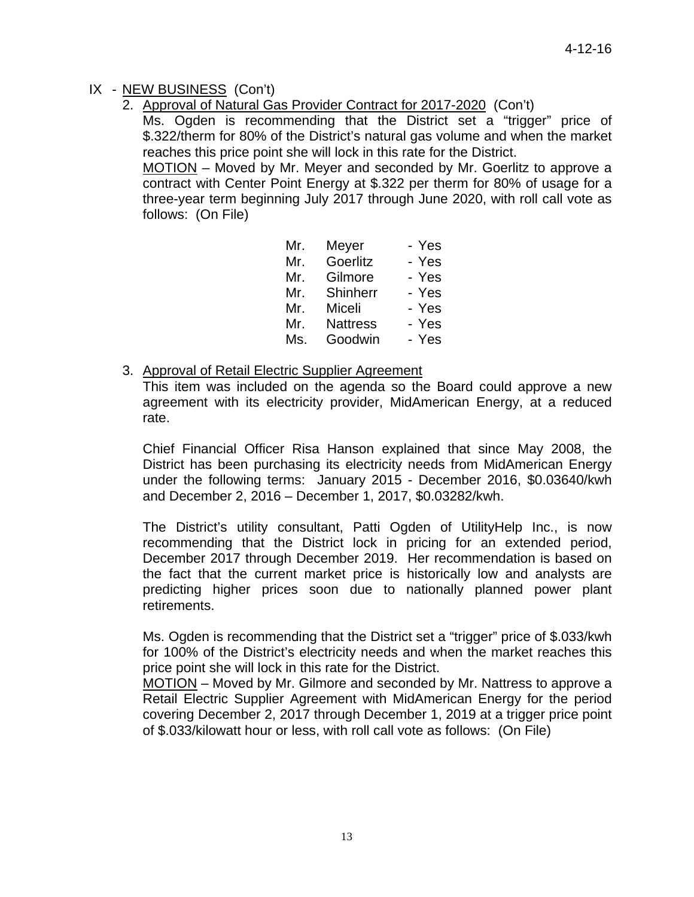# IX - NEW BUSINESS (Con't)

2. Approval of Natural Gas Provider Contract for 2017-2020 (Con't)

Ms. Ogden is recommending that the District set a "trigger" price of \$.322/therm for 80% of the District's natural gas volume and when the market reaches this price point she will lock in this rate for the District.

MOTION – Moved by Mr. Meyer and seconded by Mr. Goerlitz to approve a contract with Center Point Energy at \$.322 per therm for 80% of usage for a three-year term beginning July 2017 through June 2020, with roll call vote as follows: (On File)

| Meyer<br>Mr.           | - Yes |
|------------------------|-------|
| Goerlitz<br>Mr.        | - Yes |
| Gilmore<br>Mr.         | - Yes |
| Shinherr<br>Mr.        | - Yes |
| Miceli<br>Mr.          | - Yes |
| <b>Nattress</b><br>Mr. | - Yes |
| Goodwin<br>Ms.         | - Yes |

3. Approval of Retail Electric Supplier Agreement

This item was included on the agenda so the Board could approve a new agreement with its electricity provider, MidAmerican Energy, at a reduced rate.

Chief Financial Officer Risa Hanson explained that since May 2008, the District has been purchasing its electricity needs from MidAmerican Energy under the following terms: January 2015 - December 2016, \$0.03640/kwh and December 2, 2016 – December 1, 2017, \$0.03282/kwh.

The District's utility consultant, Patti Ogden of UtilityHelp Inc., is now recommending that the District lock in pricing for an extended period, December 2017 through December 2019. Her recommendation is based on the fact that the current market price is historically low and analysts are predicting higher prices soon due to nationally planned power plant retirements.

Ms. Ogden is recommending that the District set a "trigger" price of \$.033/kwh for 100% of the District's electricity needs and when the market reaches this price point she will lock in this rate for the District.

MOTION – Moved by Mr. Gilmore and seconded by Mr. Nattress to approve a Retail Electric Supplier Agreement with MidAmerican Energy for the period covering December 2, 2017 through December 1, 2019 at a trigger price point of \$.033/kilowatt hour or less, with roll call vote as follows: (On File)